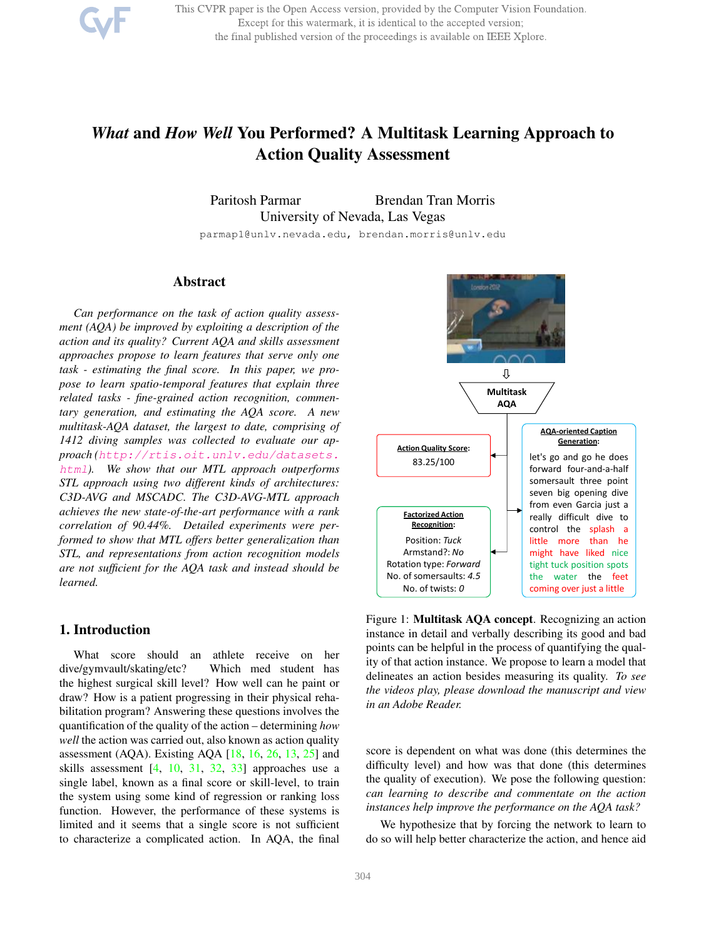This CVPR paper is the Open Access version, provided by the Computer Vision Foundation. Except for this watermark, it is identical to the accepted version; the final published version of the proceedings is available on IEEE Xplore.

# *What* and *How Well* You Performed? A Multitask Learning Approach to Action Quality Assessment

Paritosh Parmar Brendan Tran Morris University of Nevada, Las Vegas

parmap1@unlv.nevada.edu, brendan.morris@unlv.edu

# Abstract

*Can performance on the task of action quality assessment (AQA) be improved by exploiting a description of the action and its quality? Current AQA and skills assessment approaches propose to learn features that serve only one task - estimating the final score. In this paper, we propose to learn spatio-temporal features that explain three related tasks - fine-grained action recognition, commentary generation, and estimating the AQA score. A new multitask-AQA dataset, the largest to date, comprising of 1412 diving samples was collected to evaluate our approach (http://rtis.oit.unlv.edu/datasets. html). We show that our MTL approach outperforms STL approach using two different kinds of architectures: C3D-AVG and MSCADC. The C3D-AVG-MTL approach achieves the new state-of-the-art performance with a rank correlation of 90.44%. Detailed experiments were performed to show that MTL offers better generalization than STL, and representations from action recognition models are not sufficient for the AQA task and instead should be learned.*

## 1. Introduction

What score should an athlete receive on her dive/gymvault/skating/etc? Which med student has the highest surgical skill level? How well can he paint or draw? How is a patient progressing in their physical rehabilitation program? Answering these questions involves the quantification of the quality of the action – determining *how well* the action was carried out, also known as action quality assessment (AQA). Existing AQA  $[18, 16, 26, 13, 25]$  and skills assessment  $[4, 10, 31, 32, 33]$  approaches use a single label, known as a final score or skill-level, to train the system using some kind of regression or ranking loss function. However, the performance of these systems is limited and it seems that a single score is not sufficient to characterize a complicated action. In AQA, the final



Figure 1: Multitask AQA concept. Recognizing an action instance in detail and verbally describing its good and bad points can be helpful in the process of quantifying the quality of that action instance. We propose to learn a model that delineates an action besides measuring its quality. *To see the videos play, please download the manuscript and view in an Adobe Reader.*

score is dependent on what was done (this determines the difficulty level) and how was that done (this determines the quality of execution). We pose the following question: *can learning to describe and commentate on the action instances help improve the performance on the AQA task?*

We hypothesize that by forcing the network to learn to do so will help better characterize the action, and hence aid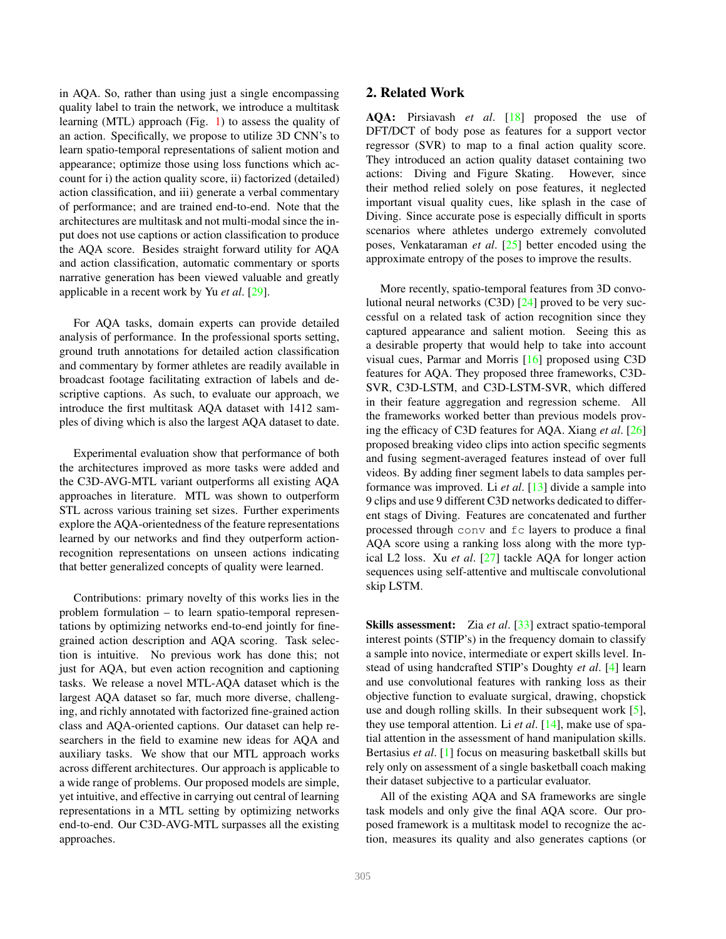in AQA. So, rather than using just a single encompassing quality label to train the network, we introduce a multitask learning (MTL) approach (Fig. 1) to assess the quality of an action. Specifically, we propose to utilize 3D CNN's to learn spatio-temporal representations of salient motion and appearance; optimize those using loss functions which account for i) the action quality score, ii) factorized (detailed) action classification, and iii) generate a verbal commentary of performance; and are trained end-to-end. Note that the architectures are multitask and not multi-modal since the input does not use captions or action classification to produce the AQA score. Besides straight forward utility for AQA and action classification, automatic commentary or sports narrative generation has been viewed valuable and greatly applicable in a recent work by Yu *et al*. [29].

For AQA tasks, domain experts can provide detailed analysis of performance. In the professional sports setting, ground truth annotations for detailed action classification and commentary by former athletes are readily available in broadcast footage facilitating extraction of labels and descriptive captions. As such, to evaluate our approach, we introduce the first multitask AQA dataset with 1412 samples of diving which is also the largest AQA dataset to date.

Experimental evaluation show that performance of both the architectures improved as more tasks were added and the C3D-AVG-MTL variant outperforms all existing AQA approaches in literature. MTL was shown to outperform STL across various training set sizes. Further experiments explore the AQA-orientedness of the feature representations learned by our networks and find they outperform actionrecognition representations on unseen actions indicating that better generalized concepts of quality were learned.

Contributions: primary novelty of this works lies in the problem formulation – to learn spatio-temporal representations by optimizing networks end-to-end jointly for finegrained action description and AQA scoring. Task selection is intuitive. No previous work has done this; not just for AQA, but even action recognition and captioning tasks. We release a novel MTL-AQA dataset which is the largest AQA dataset so far, much more diverse, challenging, and richly annotated with factorized fine-grained action class and AQA-oriented captions. Our dataset can help researchers in the field to examine new ideas for AQA and auxiliary tasks. We show that our MTL approach works across different architectures. Our approach is applicable to a wide range of problems. Our proposed models are simple, yet intuitive, and effective in carrying out central of learning representations in a MTL setting by optimizing networks end-to-end. Our C3D-AVG-MTL surpasses all the existing approaches.

AQA: Pirsiavash *et al*. [18] proposed the use of DFT/DCT of body pose as features for a support vector regressor (SVR) to map to a final action quality score. They introduced an action quality dataset containing two actions: Diving and Figure Skating. However, since their method relied solely on pose features, it neglected important visual quality cues, like splash in the case of Diving. Since accurate pose is especially difficult in sports scenarios where athletes undergo extremely convoluted poses, Venkataraman *et al*. [25] better encoded using the approximate entropy of the poses to improve the results.

More recently, spatio-temporal features from 3D convolutional neural networks (C3D) [24] proved to be very successful on a related task of action recognition since they captured appearance and salient motion. Seeing this as a desirable property that would help to take into account visual cues, Parmar and Morris [16] proposed using C3D features for AQA. They proposed three frameworks, C3D-SVR, C3D-LSTM, and C3D-LSTM-SVR, which differed in their feature aggregation and regression scheme. All the frameworks worked better than previous models proving the efficacy of C3D features for AQA. Xiang *et al*. [26] proposed breaking video clips into action specific segments and fusing segment-averaged features instead of over full videos. By adding finer segment labels to data samples performance was improved. Li *et al*. [13] divide a sample into 9 clips and use 9 different C3D networks dedicated to different stags of Diving. Features are concatenated and further processed through conv and fc layers to produce a final AQA score using a ranking loss along with the more typical L2 loss. Xu *et al*. [27] tackle AQA for longer action sequences using self-attentive and multiscale convolutional skip LSTM.

Skills assessment: Zia *et al*. [33] extract spatio-temporal interest points (STIP's) in the frequency domain to classify a sample into novice, intermediate or expert skills level. Instead of using handcrafted STIP's Doughty *et al*. [4] learn and use convolutional features with ranking loss as their objective function to evaluate surgical, drawing, chopstick use and dough rolling skills. In their subsequent work [5], they use temporal attention. Li *et al*. [14], make use of spatial attention in the assessment of hand manipulation skills. Bertasius *et al*. [1] focus on measuring basketball skills but rely only on assessment of a single basketball coach making their dataset subjective to a particular evaluator.

All of the existing AQA and SA frameworks are single task models and only give the final AQA score. Our proposed framework is a multitask model to recognize the action, measures its quality and also generates captions (or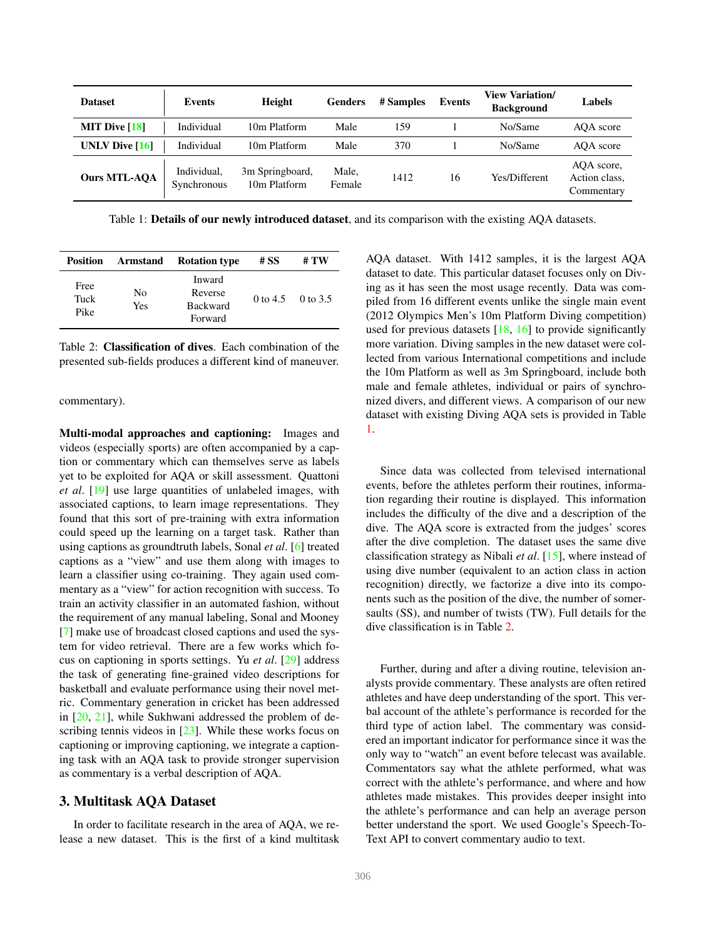| <b>Dataset</b>                                | Events                     | Height                          | Genders         | # Samples | Events | <b>View Variation/</b><br><b>Background</b> | Labels                                    |
|-----------------------------------------------|----------------------------|---------------------------------|-----------------|-----------|--------|---------------------------------------------|-------------------------------------------|
| <b>MIT Dive <math>\lceil 18 \rceil</math></b> | Individual                 | 10m Platform                    | Male            | 159       |        | No/Same                                     | AOA score                                 |
| UNLV Dive $[16]$                              | Individual                 | 10m Platform                    | Male            | 370       |        | No/Same                                     | AQA score                                 |
| <b>Ours MTL-AQA</b>                           | Individual.<br>Synchronous | 3m Springboard,<br>10m Platform | Male,<br>Female | 1412      | 16     | Yes/Different                               | AQA score,<br>Action class,<br>Commentary |

Table 1: **Details of our newly introduced dataset**, and its comparison with the existing AQA datasets.

| <b>Position</b>      | Armstand  | <b>Rotation type</b>                            | # SS | # TW              |
|----------------------|-----------|-------------------------------------------------|------|-------------------|
| Free<br>Tuck<br>Pike | No<br>Yes | Inward<br>Reverse<br><b>Backward</b><br>Forward |      | 0 to 4.5 0 to 3.5 |

Table 2: Classification of dives. Each combination of the presented sub-fields produces a different kind of maneuver.

commentary).

Multi-modal approaches and captioning: Images and videos (especially sports) are often accompanied by a caption or commentary which can themselves serve as labels yet to be exploited for AQA or skill assessment. Quattoni *et al*. [19] use large quantities of unlabeled images, with associated captions, to learn image representations. They found that this sort of pre-training with extra information could speed up the learning on a target task. Rather than using captions as groundtruth labels, Sonal *et al*. [6] treated captions as a "view" and use them along with images to learn a classifier using co-training. They again used commentary as a "view" for action recognition with success. To train an activity classifier in an automated fashion, without the requirement of any manual labeling, Sonal and Mooney [7] make use of broadcast closed captions and used the system for video retrieval. There are a few works which focus on captioning in sports settings. Yu *et al*. [29] address the task of generating fine-grained video descriptions for basketball and evaluate performance using their novel metric. Commentary generation in cricket has been addressed in [20, 21], while Sukhwani addressed the problem of describing tennis videos in  $[23]$ . While these works focus on captioning or improving captioning, we integrate a captioning task with an AQA task to provide stronger supervision as commentary is a verbal description of AQA.

## 3. Multitask AQA Dataset

In order to facilitate research in the area of AQA, we release a new dataset. This is the first of a kind multitask AQA dataset. With 1412 samples, it is the largest AQA dataset to date. This particular dataset focuses only on Diving as it has seen the most usage recently. Data was compiled from 16 different events unlike the single main event (2012 Olympics Men's 10m Platform Diving competition) used for previous datasets  $[18, 16]$  to provide significantly more variation. Diving samples in the new dataset were collected from various International competitions and include the 10m Platform as well as 3m Springboard, include both male and female athletes, individual or pairs of synchronized divers, and different views. A comparison of our new dataset with existing Diving AQA sets is provided in Table 1.

Since data was collected from televised international events, before the athletes perform their routines, information regarding their routine is displayed. This information includes the difficulty of the dive and a description of the dive. The AQA score is extracted from the judges' scores after the dive completion. The dataset uses the same dive classification strategy as Nibali *et al*. [15], where instead of using dive number (equivalent to an action class in action recognition) directly, we factorize a dive into its components such as the position of the dive, the number of somersaults (SS), and number of twists (TW). Full details for the dive classification is in Table 2.

Further, during and after a diving routine, television analysts provide commentary. These analysts are often retired athletes and have deep understanding of the sport. This verbal account of the athlete's performance is recorded for the third type of action label. The commentary was considered an important indicator for performance since it was the only way to "watch" an event before telecast was available. Commentators say what the athlete performed, what was correct with the athlete's performance, and where and how athletes made mistakes. This provides deeper insight into the athlete's performance and can help an average person better understand the sport. We used Google's Speech-To-Text API to convert commentary audio to text.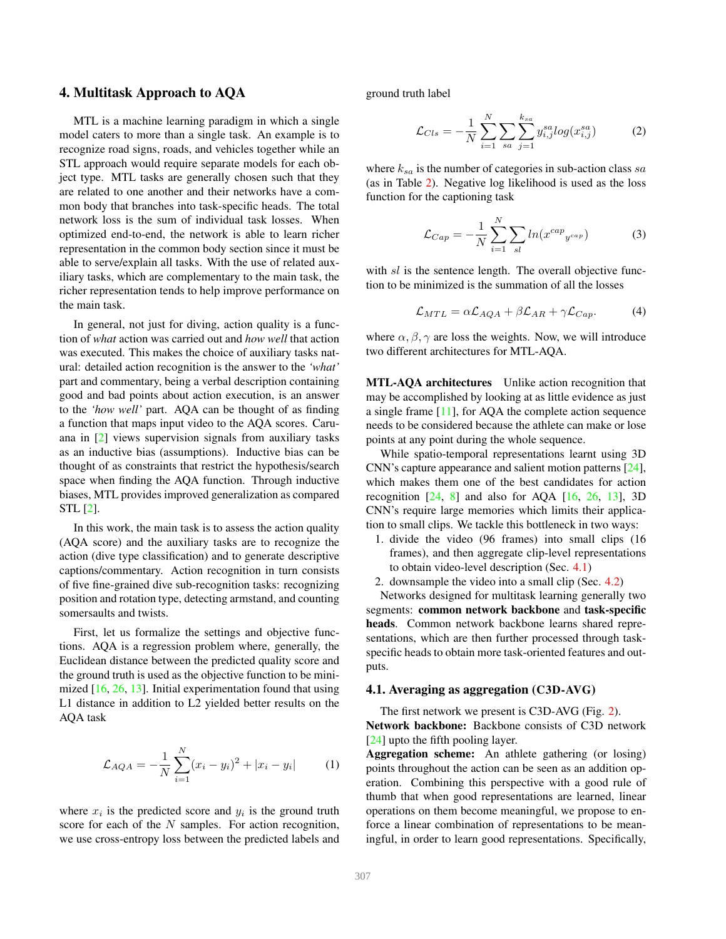## 4. Multitask Approach to AQA

MTL is a machine learning paradigm in which a single model caters to more than a single task. An example is to recognize road signs, roads, and vehicles together while an STL approach would require separate models for each object type. MTL tasks are generally chosen such that they are related to one another and their networks have a common body that branches into task-specific heads. The total network loss is the sum of individual task losses. When optimized end-to-end, the network is able to learn richer representation in the common body section since it must be able to serve/explain all tasks. With the use of related auxiliary tasks, which are complementary to the main task, the richer representation tends to help improve performance on the main task.

In general, not just for diving, action quality is a function of *what* action was carried out and *how well* that action was executed. This makes the choice of auxiliary tasks natural: detailed action recognition is the answer to the *'what'* part and commentary, being a verbal description containing good and bad points about action execution, is an answer to the *'how well'* part. AQA can be thought of as finding a function that maps input video to the AQA scores. Caruana in [2] views supervision signals from auxiliary tasks as an inductive bias (assumptions). Inductive bias can be thought of as constraints that restrict the hypothesis/search space when finding the AQA function. Through inductive biases, MTL provides improved generalization as compared STL [2].

In this work, the main task is to assess the action quality (AQA score) and the auxiliary tasks are to recognize the action (dive type classification) and to generate descriptive captions/commentary. Action recognition in turn consists of five fine-grained dive sub-recognition tasks: recognizing position and rotation type, detecting armstand, and counting somersaults and twists.

First, let us formalize the settings and objective functions. AQA is a regression problem where, generally, the Euclidean distance between the predicted quality score and the ground truth is used as the objective function to be minimized [16, 26, 13]. Initial experimentation found that using L1 distance in addition to L2 yielded better results on the AQA task

$$
\mathcal{L}_{AQA} = -\frac{1}{N} \sum_{i=1}^{N} (x_i - y_i)^2 + |x_i - y_i| \tag{1}
$$

where  $x_i$  is the predicted score and  $y_i$  is the ground truth score for each of the N samples. For action recognition, we use cross-entropy loss between the predicted labels and ground truth label

$$
\mathcal{L}_{Cls} = -\frac{1}{N} \sum_{i=1}^{N} \sum_{sa} \sum_{j=1}^{k_{sa}} y_{i,j}^{sa} log(x_{i,j}^{sa})
$$
(2)

where  $k_{sa}$  is the number of categories in sub-action class sa (as in Table 2). Negative log likelihood is used as the loss function for the captioning task

$$
\mathcal{L}_{Cap} = -\frac{1}{N} \sum_{i=1}^{N} \sum_{sl} ln(x^{cap}_{y^{cap}})
$$
 (3)

with sl is the sentence length. The overall objective function to be minimized is the summation of all the losses

$$
\mathcal{L}_{MTL} = \alpha \mathcal{L}_{AQA} + \beta \mathcal{L}_{AR} + \gamma \mathcal{L}_{Cap}.
$$
 (4)

where  $\alpha$ ,  $\beta$ ,  $\gamma$  are loss the weights. Now, we will introduce two different architectures for MTL-AQA.

MTL-AQA architectures Unlike action recognition that may be accomplished by looking at as little evidence as just a single frame [11], for AQA the complete action sequence needs to be considered because the athlete can make or lose points at any point during the whole sequence.

While spatio-temporal representations learnt using 3D CNN's capture appearance and salient motion patterns [24], which makes them one of the best candidates for action recognition  $[24, 8]$  and also for AQA  $[16, 26, 13]$ , 3D CNN's require large memories which limits their application to small clips. We tackle this bottleneck in two ways:

- 1. divide the video (96 frames) into small clips (16 frames), and then aggregate clip-level representations to obtain video-level description (Sec. 4.1)
- 2. downsample the video into a small clip (Sec. 4.2)

Networks designed for multitask learning generally two segments: common network backbone and task-specific heads. Common network backbone learns shared representations, which are then further processed through taskspecific heads to obtain more task-oriented features and outputs.

#### 4.1. Averaging as aggregation (C3D-AVG)

The first network we present is C3D-AVG (Fig. 2). Network backbone: Backbone consists of C3D network [24] upto the fifth pooling layer.

Aggregation scheme: An athlete gathering (or losing) points throughout the action can be seen as an addition operation. Combining this perspective with a good rule of thumb that when good representations are learned, linear operations on them become meaningful, we propose to enforce a linear combination of representations to be meaningful, in order to learn good representations. Specifically,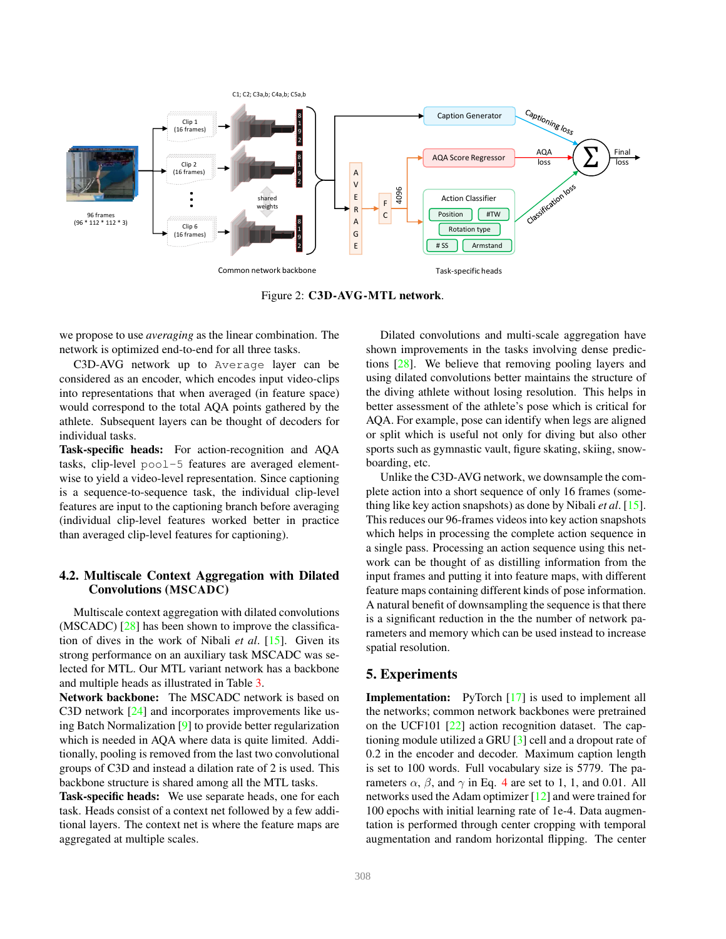

Figure 2: C3D-AVG-MTL network.

we propose to use *averaging* as the linear combination. The network is optimized end-to-end for all three tasks.

C3D-AVG network up to Average layer can be considered as an encoder, which encodes input video-clips into representations that when averaged (in feature space) would correspond to the total AQA points gathered by the athlete. Subsequent layers can be thought of decoders for individual tasks.

Task-specific heads: For action-recognition and AQA tasks, clip-level pool-5 features are averaged elementwise to yield a video-level representation. Since captioning is a sequence-to-sequence task, the individual clip-level features are input to the captioning branch before averaging (individual clip-level features worked better in practice than averaged clip-level features for captioning).

## 4.2. Multiscale Context Aggregation with Dilated Convolutions (MSCADC)

Multiscale context aggregation with dilated convolutions (MSCADC) [28] has been shown to improve the classification of dives in the work of Nibali *et al*. [15]. Given its strong performance on an auxiliary task MSCADC was selected for MTL. Our MTL variant network has a backbone and multiple heads as illustrated in Table 3.

Network backbone: The MSCADC network is based on C3D network [24] and incorporates improvements like using Batch Normalization [9] to provide better regularization which is needed in AQA where data is quite limited. Additionally, pooling is removed from the last two convolutional groups of C3D and instead a dilation rate of 2 is used. This backbone structure is shared among all the MTL tasks.

Task-specific heads: We use separate heads, one for each task. Heads consist of a context net followed by a few additional layers. The context net is where the feature maps are aggregated at multiple scales.

Dilated convolutions and multi-scale aggregation have shown improvements in the tasks involving dense predictions [28]. We believe that removing pooling layers and using dilated convolutions better maintains the structure of the diving athlete without losing resolution. This helps in better assessment of the athlete's pose which is critical for AQA. For example, pose can identify when legs are aligned or split which is useful not only for diving but also other sports such as gymnastic vault, figure skating, skiing, snowboarding, etc.

Unlike the C3D-AVG network, we downsample the complete action into a short sequence of only 16 frames (something like key action snapshots) as done by Nibali *et al*. [15]. This reduces our 96-frames videos into key action snapshots which helps in processing the complete action sequence in a single pass. Processing an action sequence using this network can be thought of as distilling information from the input frames and putting it into feature maps, with different feature maps containing different kinds of pose information. A natural benefit of downsampling the sequence is that there is a significant reduction in the the number of network parameters and memory which can be used instead to increase spatial resolution.

### 5. Experiments

**Implementation:** PyTorch [17] is used to implement all the networks; common network backbones were pretrained on the UCF101 [22] action recognition dataset. The captioning module utilized a GRU [3] cell and a dropout rate of 0.2 in the encoder and decoder. Maximum caption length is set to 100 words. Full vocabulary size is 5779. The parameters  $\alpha$ ,  $\beta$ , and  $\gamma$  in Eq. 4 are set to 1, 1, and 0.01. All networks used the Adam optimizer [12] and were trained for 100 epochs with initial learning rate of 1e-4. Data augmentation is performed through center cropping with temporal augmentation and random horizontal flipping. The center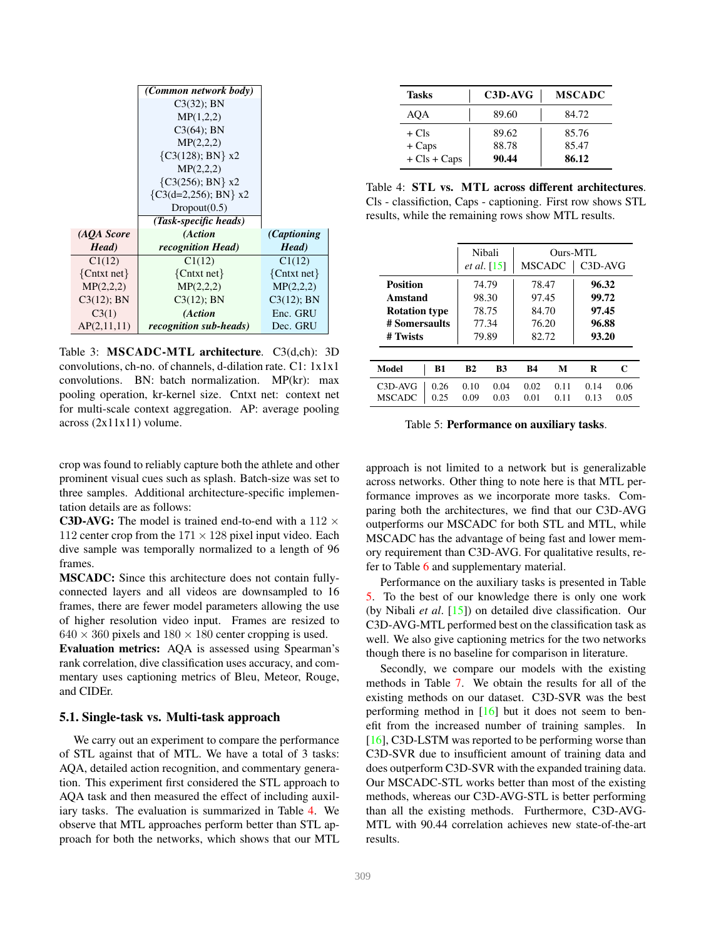|                 | (Common network body)     |               |
|-----------------|---------------------------|---------------|
|                 | $C3(32)$ ; BN             |               |
|                 | MP(1,2,2)                 |               |
|                 | $C3(64)$ ; BN             |               |
|                 | MP(2,2,2)                 |               |
|                 | $\{C3(128); BN\}$ x2      |               |
|                 | MP(2,2,2)                 |               |
|                 | $\{C3(256); BN\}$ x2      |               |
|                 | $\{C3(d=2,256); BN\}$ x2  |               |
|                 | Dropout(0.5)              |               |
|                 | (Task-specific heads)     |               |
| (AQA Score      | (Action                   | (Captioning)  |
| Head)           | <i>recognition Head</i> ) | Head)         |
| C1(12)          | C1(12)                    | C1(12)        |
| $\{Cntxt net\}$ | $\{Cntxt net\}$           | ${Cntxt net}$ |
| MP(2,2,2)       | MP(2,2,2)                 | MP(2,2,2)     |
| $C3(12)$ ; BN   | $C3(12)$ ; BN             | $C3(12)$ ; BN |
| C3(1)           | (Action                   | Enc. GRU      |
| AP(2,11,11)     | recognition sub-heads)    | Dec. GRU      |

Table 3: MSCADC-MTL architecture. C3(d,ch): 3D convolutions, ch-no. of channels, d-dilation rate. C1: 1x1x1 convolutions. BN: batch normalization. MP(kr): max pooling operation, kr-kernel size. Cntxt net: context net for multi-scale context aggregation. AP: average pooling across (2x11x11) volume.

crop was found to reliably capture both the athlete and other prominent visual cues such as splash. Batch-size was set to three samples. Additional architecture-specific implementation details are as follows:

C3D-AVG: The model is trained end-to-end with a 112  $\times$ 112 center crop from the  $171 \times 128$  pixel input video. Each dive sample was temporally normalized to a length of 96 frames.

MSCADC: Since this architecture does not contain fullyconnected layers and all videos are downsampled to 16 frames, there are fewer model parameters allowing the use of higher resolution video input. Frames are resized to  $640 \times 360$  pixels and  $180 \times 180$  center cropping is used.

Evaluation metrics: AQA is assessed using Spearman's rank correlation, dive classification uses accuracy, and commentary uses captioning metrics of Bleu, Meteor, Rouge, and CIDEr.

#### 5.1. Single-task vs. Multi-task approach

We carry out an experiment to compare the performance of STL against that of MTL. We have a total of 3 tasks: AQA, detailed action recognition, and commentary generation. This experiment first considered the STL approach to AQA task and then measured the effect of including auxiliary tasks. The evaluation is summarized in Table 4. We observe that MTL approaches perform better than STL approach for both the networks, which shows that our MTL

| <b>Tasks</b>    | C3D-AVG | <b>MSCADC</b> |
|-----------------|---------|---------------|
| AOA             | 89.60   | 84.72         |
| $+ Cls$         | 89.62   | 85.76         |
| $+ \text{Caps}$ | 88.78   | 85.47         |
| $+ Cls + Caps$  | 90.44   | 86.12         |

Table 4: STL vs. MTL across different architectures. Cls - classifiction, Caps - captioning. First row shows STL results, while the remaining rows show MTL results.

|                                          |                | Nibali<br>Ours-MTL<br><b>MSCADC</b><br><i>et al.</i> [15] |                | C3D-AVG      |                |              |
|------------------------------------------|----------------|-----------------------------------------------------------|----------------|--------------|----------------|--------------|
| Position<br>Amstand                      | 74.79<br>98.30 |                                                           | 78.47<br>97.45 |              | 96.32<br>99.72 |              |
| <b>Rotation type</b>                     | 78.75          |                                                           | 84.70          |              | 97.45          |              |
| # Somersaults<br># Twists                | 77.34<br>79.89 |                                                           | 76.20<br>82.72 |              | 96.88<br>93.20 |              |
|                                          |                |                                                           |                |              |                |              |
| <b>Model</b><br>B1                       | B <sub>2</sub> | <b>B3</b>                                                 | <b>B4</b>      | М            | R              | C            |
| 0.26<br>C3D-AVG<br><b>MSCADC</b><br>0.25 | 0.10<br>0.09   | 0.04<br>0.03                                              | 0.02<br>0.01   | 0.11<br>0.11 | 0.14<br>0.13   | 0.06<br>0.05 |

Table 5: Performance on auxiliary tasks.

approach is not limited to a network but is generalizable across networks. Other thing to note here is that MTL performance improves as we incorporate more tasks. Comparing both the architectures, we find that our C3D-AVG outperforms our MSCADC for both STL and MTL, while MSCADC has the advantage of being fast and lower memory requirement than C3D-AVG. For qualitative results, refer to Table 6 and supplementary material.

Performance on the auxiliary tasks is presented in Table 5. To the best of our knowledge there is only one work (by Nibali *et al*. [15]) on detailed dive classification. Our C3D-AVG-MTL performed best on the classification task as well. We also give captioning metrics for the two networks though there is no baseline for comparison in literature.

Secondly, we compare our models with the existing methods in Table 7. We obtain the results for all of the existing methods on our dataset. C3D-SVR was the best performing method in  $[16]$  but it does not seem to benefit from the increased number of training samples. In [16], C3D-LSTM was reported to be performing worse than C3D-SVR due to insufficient amount of training data and does outperform C3D-SVR with the expanded training data. Our MSCADC-STL works better than most of the existing methods, whereas our C3D-AVG-STL is better performing than all the existing methods. Furthermore, C3D-AVG-MTL with 90.44 correlation achieves new state-of-the-art results.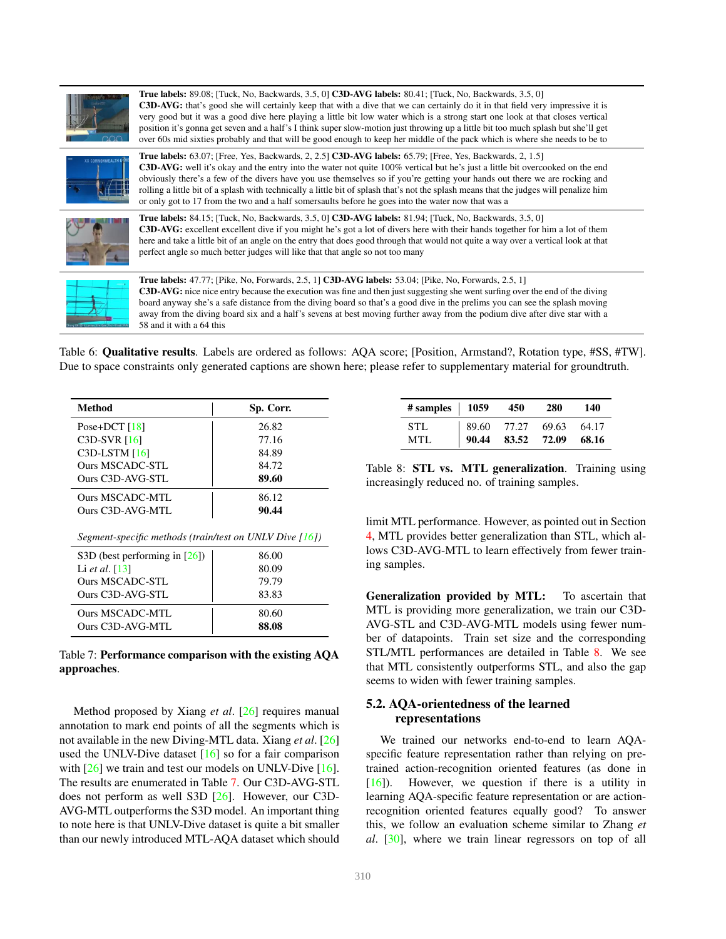

True labels: 89.08; [Tuck, No, Backwards, 3.5, 0] C3D-AVG labels: 80.41; [Tuck, No, Backwards, 3.5, 0] C3D-AVG: that's good she will certainly keep that with a dive that we can certainly do it in that field very impressive it is very good but it was a good dive here playing a little bit low water which is a strong start one look at that closes vertical position it's gonna get seven and a half's I think super slow-motion just throwing up a little bit too much splash but she'll get over 60s mid sixties probably and that will be good enough to keep her middle of the pack which is where she needs to be to



True labels: 63.07; [Free, Yes, Backwards, 2, 2.5] C3D-AVG labels: 65.79; [Free, Yes, Backwards, 2, 1.5] C3D-AVG: well it's okay and the entry into the water not quite 100% vertical but he's just a little bit overcooked on the end obviously there's a few of the divers have you use themselves so if you're getting your hands out there we are rocking and rolling a little bit of a splash with technically a little bit of splash that's not the splash means that the judges will penalize him or only got to 17 from the two and a half somersaults before he goes into the water now that was a



True labels: 84.15; [Tuck, No, Backwards, 3.5, 0] C3D-AVG labels: 81.94; [Tuck, No, Backwards, 3.5, 0] C3D-AVG: excellent excellent dive if you might he's got a lot of divers here with their hands together for him a lot of them here and take a little bit of an angle on the entry that does good through that would not quite a way over a vertical look at that perfect angle so much better judges will like that that angle so not too many



True labels: 47.77; [Pike, No, Forwards, 2.5, 1] C3D-AVG labels: 53.04; [Pike, No, Forwards, 2.5, 1] C3D-AVG: nice nice entry because the execution was fine and then just suggesting she went surfing over the end of the diving board anyway she's a safe distance from the diving board so that's a good dive in the prelims you can see the splash moving away from the diving board six and a half's sevens at best moving further away from the podium dive after dive star with a 58 and it with a 64 this

Table 6: Qualitative results. Labels are ordered as follows: AQA score; [Position, Armstand?, Rotation type, #SS, #TW]. Due to space constraints only generated captions are shown here; please refer to supplementary material for groundtruth.

| Method                                                     | Sp. Corr. |
|------------------------------------------------------------|-----------|
| Pose+DCT $[18]$                                            | 26.82     |
| C3D-SVR [16]                                               | 77.16     |
| $C3D$ -LSTM $[16]$                                         | 84.89     |
| Ours MSCADC-STL                                            | 84.72     |
| Ours C3D-AVG-STL                                           | 89.60     |
| Ours MSCADC-MTL                                            | 86.12     |
| Ours C3D-AVG-MTL                                           | 90.44     |
| Segment-specific methods (train/test on UNLV Dive $[16]$ ) |           |
| S3D (best performing in $[26]$ )                           | 86.00     |
| Li <i>et al.</i> [13]                                      | 80.09     |
| Ours MSCADC-STL                                            | 79.79     |
| Ours C3D-AVG-STL                                           | 83.83     |
| Ours MSCADC-MTL                                            | 80.60     |
| Ours C3D-AVG-MTL                                           | 88.08     |

Table 7: Performance comparison with the existing AQA approaches.

Method proposed by Xiang *et al*. [26] requires manual annotation to mark end points of all the segments which is not available in the new Diving-MTL data. Xiang *et al*. [26] used the UNLV-Dive dataset [16] so for a fair comparison with [26] we train and test our models on UNLV-Dive [16]. The results are enumerated in Table 7. Our C3D-AVG-STL does not perform as well S3D [26]. However, our C3D-AVG-MTL outperforms the S3D model. An important thing to note here is that UNLV-Dive dataset is quite a bit smaller than our newly introduced MTL-AQA dataset which should

| # samples $  1059 450$ |                         |                         | <b>280</b> | 140 |
|------------------------|-------------------------|-------------------------|------------|-----|
| <b>STL</b>             | 89.60 77.27 69.63 64.17 |                         |            |     |
| MTL                    |                         | 90.44 83.52 72.09 68.16 |            |     |

Table 8: STL vs. MTL generalization. Training using increasingly reduced no. of training samples.

limit MTL performance. However, as pointed out in Section 4, MTL provides better generalization than STL, which allows C3D-AVG-MTL to learn effectively from fewer training samples.

Generalization provided by MTL: To ascertain that MTL is providing more generalization, we train our C3D-AVG-STL and C3D-AVG-MTL models using fewer number of datapoints. Train set size and the corresponding STL/MTL performances are detailed in Table 8. We see that MTL consistently outperforms STL, and also the gap seems to widen with fewer training samples.

## 5.2. AQA-orientedness of the learned representations

We trained our networks end-to-end to learn AQAspecific feature representation rather than relying on pretrained action-recognition oriented features (as done in [16]). However, we question if there is a utility in learning AQA-specific feature representation or are actionrecognition oriented features equally good? To answer this, we follow an evaluation scheme similar to Zhang *et al*. [30], where we train linear regressors on top of all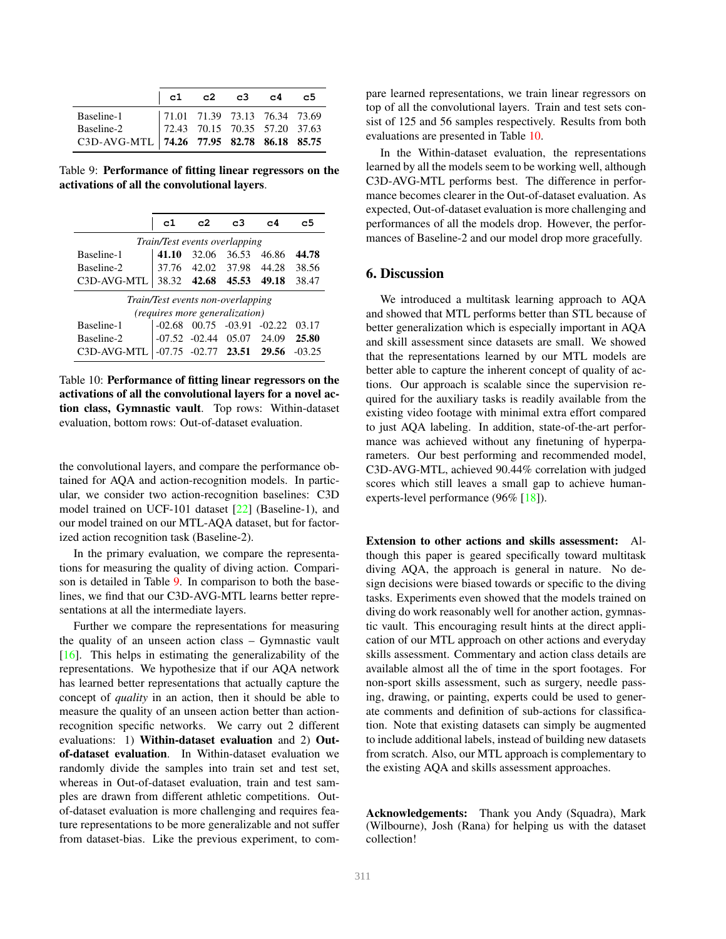|                                                                                                                                   | $ $ c1 |  | c2 c3 c4 c5 |  |
|-----------------------------------------------------------------------------------------------------------------------------------|--------|--|-------------|--|
| Baseline-1 71.01 71.39 73.13 76.34 73.69<br>Baseline-2 72.43 70.15 70.35 57.20 37.63<br>C3D-AVG-MTL 74.26 77.95 82.78 86.18 85.75 |        |  |             |  |
|                                                                                                                                   |        |  |             |  |
|                                                                                                                                   |        |  |             |  |

Table 9: Performance of fitting linear regressors on the activations of all the convolutional layers.

|                                      | c1                                | c2                              | c3             | c4    | c5    |  |  |
|--------------------------------------|-----------------------------------|---------------------------------|----------------|-------|-------|--|--|
| <i>Train/Test events overlapping</i> |                                   |                                 |                |       |       |  |  |
| Baseline-1                           | 41.10                             | 32.06                           | 36.53          | 46.86 | 44.78 |  |  |
| Baseline-2                           | 37.76                             | 42.02                           | 37.98          | 44.28 | 38.56 |  |  |
| C3D-AVG-MTL                          |                                   | 38.32 42.68                     | 45.53          | 49.18 | 38.47 |  |  |
|                                      | Train/Test events non-overlapping |                                 |                |       |       |  |  |
|                                      |                                   | (requires more generalization)  |                |       |       |  |  |
| Baseline-1                           | $-02.68$                          | 00.75 -03.91 -02.22             |                |       | 03.17 |  |  |
| Baseline-2                           |                                   | $-07.52$ $-02.44$ $05.07$ 24.09 |                |       | 25.80 |  |  |
| C3D-AVG-MTL                          | $1 - 07.75$                       |                                 | $-02.77$ 23.51 | 29.56 |       |  |  |

Table 10: Performance of fitting linear regressors on the activations of all the convolutional layers for a novel action class, Gymnastic vault. Top rows: Within-dataset evaluation, bottom rows: Out-of-dataset evaluation.

the convolutional layers, and compare the performance obtained for AQA and action-recognition models. In particular, we consider two action-recognition baselines: C3D model trained on UCF-101 dataset [22] (Baseline-1), and our model trained on our MTL-AQA dataset, but for factorized action recognition task (Baseline-2).

In the primary evaluation, we compare the representations for measuring the quality of diving action. Comparison is detailed in Table 9. In comparison to both the baselines, we find that our C3D-AVG-MTL learns better representations at all the intermediate layers.

Further we compare the representations for measuring the quality of an unseen action class – Gymnastic vault [16]. This helps in estimating the generalizability of the representations. We hypothesize that if our AQA network has learned better representations that actually capture the concept of *quality* in an action, then it should be able to measure the quality of an unseen action better than actionrecognition specific networks. We carry out 2 different evaluations: 1) Within-dataset evaluation and 2) Outof-dataset evaluation. In Within-dataset evaluation we randomly divide the samples into train set and test set, whereas in Out-of-dataset evaluation, train and test samples are drawn from different athletic competitions. Outof-dataset evaluation is more challenging and requires feature representations to be more generalizable and not suffer from dataset-bias. Like the previous experiment, to compare learned representations, we train linear regressors on top of all the convolutional layers. Train and test sets consist of 125 and 56 samples respectively. Results from both evaluations are presented in Table 10.

In the Within-dataset evaluation, the representations learned by all the models seem to be working well, although C3D-AVG-MTL performs best. The difference in performance becomes clearer in the Out-of-dataset evaluation. As expected, Out-of-dataset evaluation is more challenging and performances of all the models drop. However, the performances of Baseline-2 and our model drop more gracefully.

### 6. Discussion

We introduced a multitask learning approach to AQA and showed that MTL performs better than STL because of better generalization which is especially important in AQA and skill assessment since datasets are small. We showed that the representations learned by our MTL models are better able to capture the inherent concept of quality of actions. Our approach is scalable since the supervision required for the auxiliary tasks is readily available from the existing video footage with minimal extra effort compared to just AQA labeling. In addition, state-of-the-art performance was achieved without any finetuning of hyperparameters. Our best performing and recommended model, C3D-AVG-MTL, achieved 90.44% correlation with judged scores which still leaves a small gap to achieve humanexperts-level performance (96% [18]).

Extension to other actions and skills assessment: Although this paper is geared specifically toward multitask diving AQA, the approach is general in nature. No design decisions were biased towards or specific to the diving tasks. Experiments even showed that the models trained on diving do work reasonably well for another action, gymnastic vault. This encouraging result hints at the direct application of our MTL approach on other actions and everyday skills assessment. Commentary and action class details are available almost all the of time in the sport footages. For non-sport skills assessment, such as surgery, needle passing, drawing, or painting, experts could be used to generate comments and definition of sub-actions for classification. Note that existing datasets can simply be augmented to include additional labels, instead of building new datasets from scratch. Also, our MTL approach is complementary to the existing AQA and skills assessment approaches.

Acknowledgements: Thank you Andy (Squadra), Mark (Wilbourne), Josh (Rana) for helping us with the dataset collection!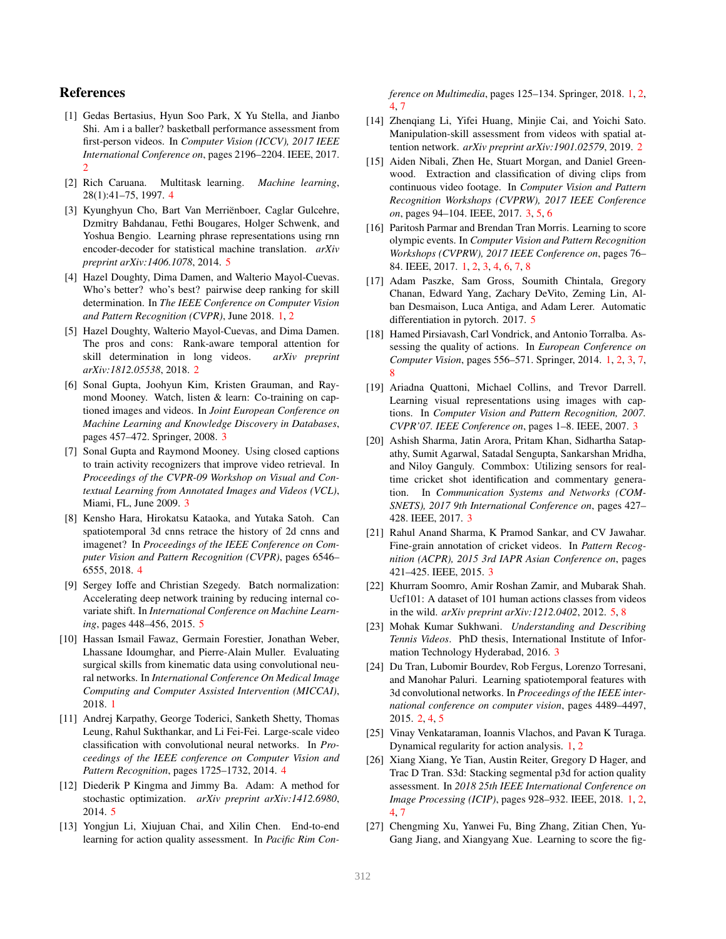## References

- [1] Gedas Bertasius, Hyun Soo Park, X Yu Stella, and Jianbo Shi. Am i a baller? basketball performance assessment from first-person videos. In *Computer Vision (ICCV), 2017 IEEE International Conference on*, pages 2196–2204. IEEE, 2017. 2
- [2] Rich Caruana. Multitask learning. *Machine learning*, 28(1):41–75, 1997. 4
- [3] Kyunghyun Cho, Bart Van Merriënboer, Caglar Gulcehre, Dzmitry Bahdanau, Fethi Bougares, Holger Schwenk, and Yoshua Bengio. Learning phrase representations using rnn encoder-decoder for statistical machine translation. *arXiv preprint arXiv:1406.1078*, 2014. 5
- [4] Hazel Doughty, Dima Damen, and Walterio Mayol-Cuevas. Who's better? who's best? pairwise deep ranking for skill determination. In *The IEEE Conference on Computer Vision and Pattern Recognition (CVPR)*, June 2018. 1, 2
- [5] Hazel Doughty, Walterio Mayol-Cuevas, and Dima Damen. The pros and cons: Rank-aware temporal attention for skill determination in long videos. *arXiv preprint arXiv:1812.05538*, 2018. 2
- [6] Sonal Gupta, Joohyun Kim, Kristen Grauman, and Raymond Mooney. Watch, listen & learn: Co-training on captioned images and videos. In *Joint European Conference on Machine Learning and Knowledge Discovery in Databases*, pages 457–472. Springer, 2008. 3
- [7] Sonal Gupta and Raymond Mooney. Using closed captions to train activity recognizers that improve video retrieval. In *Proceedings of the CVPR-09 Workshop on Visual and Contextual Learning from Annotated Images and Videos (VCL)*, Miami, FL, June 2009. 3
- [8] Kensho Hara, Hirokatsu Kataoka, and Yutaka Satoh. Can spatiotemporal 3d cnns retrace the history of 2d cnns and imagenet? In *Proceedings of the IEEE Conference on Computer Vision and Pattern Recognition (CVPR)*, pages 6546– 6555, 2018. 4
- [9] Sergey Ioffe and Christian Szegedy. Batch normalization: Accelerating deep network training by reducing internal covariate shift. In *International Conference on Machine Learning*, pages 448–456, 2015. 5
- [10] Hassan Ismail Fawaz, Germain Forestier, Jonathan Weber, Lhassane Idoumghar, and Pierre-Alain Muller. Evaluating surgical skills from kinematic data using convolutional neural networks. In *International Conference On Medical Image Computing and Computer Assisted Intervention (MICCAI)*, 2018. 1
- [11] Andrej Karpathy, George Toderici, Sanketh Shetty, Thomas Leung, Rahul Sukthankar, and Li Fei-Fei. Large-scale video classification with convolutional neural networks. In *Proceedings of the IEEE conference on Computer Vision and Pattern Recognition*, pages 1725–1732, 2014. 4
- [12] Diederik P Kingma and Jimmy Ba. Adam: A method for stochastic optimization. *arXiv preprint arXiv:1412.6980*, 2014. 5
- [13] Yongjun Li, Xiujuan Chai, and Xilin Chen. End-to-end learning for action quality assessment. In *Pacific Rim Con-*

*ference on Multimedia*, pages 125–134. Springer, 2018. 1, 2, 4, 7

- [14] Zhenqiang Li, Yifei Huang, Minjie Cai, and Yoichi Sato. Manipulation-skill assessment from videos with spatial attention network. *arXiv preprint arXiv:1901.02579*, 2019. 2
- [15] Aiden Nibali, Zhen He, Stuart Morgan, and Daniel Greenwood. Extraction and classification of diving clips from continuous video footage. In *Computer Vision and Pattern Recognition Workshops (CVPRW), 2017 IEEE Conference on*, pages 94–104. IEEE, 2017. 3, 5, 6
- [16] Paritosh Parmar and Brendan Tran Morris. Learning to score olympic events. In *Computer Vision and Pattern Recognition Workshops (CVPRW), 2017 IEEE Conference on*, pages 76– 84. IEEE, 2017. 1, 2, 3, 4, 6, 7, 8
- [17] Adam Paszke, Sam Gross, Soumith Chintala, Gregory Chanan, Edward Yang, Zachary DeVito, Zeming Lin, Alban Desmaison, Luca Antiga, and Adam Lerer. Automatic differentiation in pytorch. 2017. 5
- [18] Hamed Pirsiavash, Carl Vondrick, and Antonio Torralba. Assessing the quality of actions. In *European Conference on Computer Vision*, pages 556–571. Springer, 2014. 1, 2, 3, 7, 8
- [19] Ariadna Quattoni, Michael Collins, and Trevor Darrell. Learning visual representations using images with captions. In *Computer Vision and Pattern Recognition, 2007. CVPR'07. IEEE Conference on*, pages 1–8. IEEE, 2007. 3
- [20] Ashish Sharma, Jatin Arora, Pritam Khan, Sidhartha Satapathy, Sumit Agarwal, Satadal Sengupta, Sankarshan Mridha, and Niloy Ganguly. Commbox: Utilizing sensors for realtime cricket shot identification and commentary generation. In *Communication Systems and Networks (COM-SNETS), 2017 9th International Conference on*, pages 427– 428. IEEE, 2017. 3
- [21] Rahul Anand Sharma, K Pramod Sankar, and CV Jawahar. Fine-grain annotation of cricket videos. In *Pattern Recognition (ACPR), 2015 3rd IAPR Asian Conference on*, pages 421–425. IEEE, 2015. 3
- [22] Khurram Soomro, Amir Roshan Zamir, and Mubarak Shah. Ucf101: A dataset of 101 human actions classes from videos in the wild. *arXiv preprint arXiv:1212.0402*, 2012. 5, 8
- [23] Mohak Kumar Sukhwani. *Understanding and Describing Tennis Videos*. PhD thesis, International Institute of Information Technology Hyderabad, 2016. 3
- [24] Du Tran, Lubomir Bourdev, Rob Fergus, Lorenzo Torresani, and Manohar Paluri. Learning spatiotemporal features with 3d convolutional networks. In *Proceedings of the IEEE international conference on computer vision*, pages 4489–4497, 2015. 2, 4, 5
- [25] Vinay Venkataraman, Ioannis Vlachos, and Pavan K Turaga. Dynamical regularity for action analysis. 1, 2
- [26] Xiang Xiang, Ye Tian, Austin Reiter, Gregory D Hager, and Trac D Tran. S3d: Stacking segmental p3d for action quality assessment. In *2018 25th IEEE International Conference on Image Processing (ICIP)*, pages 928–932. IEEE, 2018. 1, 2, 4, 7
- [27] Chengming Xu, Yanwei Fu, Bing Zhang, Zitian Chen, Yu-Gang Jiang, and Xiangyang Xue. Learning to score the fig-